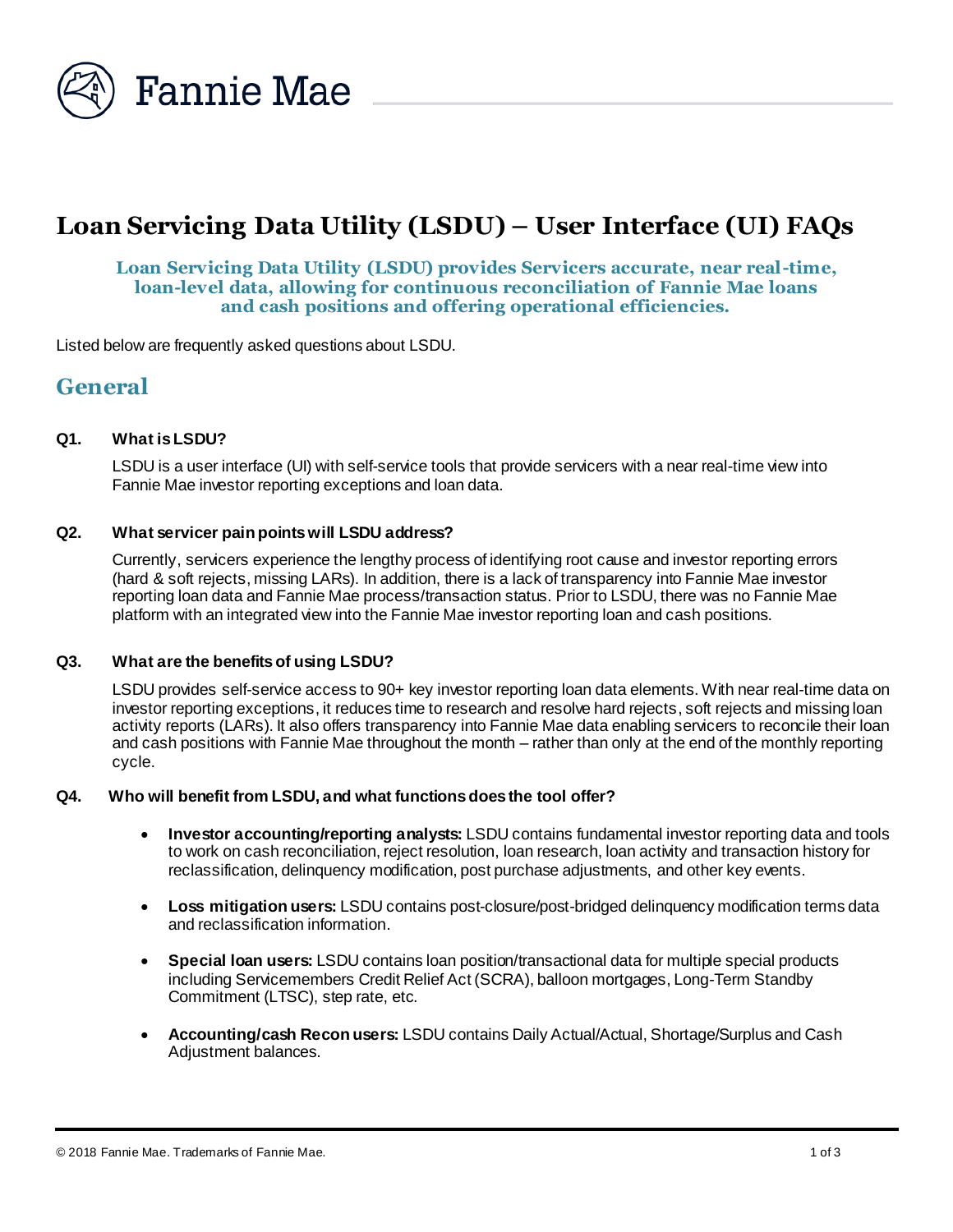

# **Loan Servicing Data Utility (LSDU) – User Interface (UI) FAQs**

# **Loan Servicing Data Utility (LSDU) provides Servicers accurate, near real-time, loan-level data, allowing for continuous reconciliation of Fannie Mae loans and cash positions and offering operational efficiencies.**

Listed below are frequently asked questions about LSDU.

# **General**

### **Q1. What is LSDU?**

LSDU is a user interface (UI) with self-service tools that provide servicers with a near real-time view into Fannie Mae investor reporting exceptions and loan data.

#### **Q2. What servicer pain pointswill LSDU address?**

Currently, servicers experience the lengthy process of identifying root cause and investor reporting errors (hard & soft rejects, missing LARs). In addition, there is a lack of transparency into Fannie Mae investor reporting loan data and Fannie Mae process/transaction status. Prior to LSDU, there was no Fannie Mae platform with an integrated view into the Fannie Mae investor reporting loan and cash positions.

#### **Q3. What are the benefitsof using LSDU?**

LSDU provides self-service access to 90+ key investor reporting loan data elements. With near real-time data on investor reporting exceptions, it reduces time to research and resolve hard rejects, soft rejects and missing loan activity reports (LARs). It also offers transparency into Fannie Mae data enabling servicers to reconcile their loan and cash positions with Fannie Mae throughout the month – rather than only at the end of the monthly reporting cycle.

#### **Q4. Who will benefit from LSDU, and what functions does the tool offer?**

- **Investor accounting/reporting analysts:** LSDU contains fundamental investor reporting data and tools to work on cash reconciliation, reject resolution, loan research, loan activity and transaction history for reclassification, delinquency modification, post purchase adjustments, and other key events.
- **Loss mitigation users:** LSDU contains post-closure/post-bridged delinquency modification terms data and reclassification information.
- **Special loan users:** LSDU contains loan position/transactional data for multiple special products including Servicemembers Credit Relief Act (SCRA), balloon mortgages, Long-Term Standby Commitment (LTSC), step rate, etc.
- **Accounting/cash Recon users:** LSDU contains Daily Actual/Actual, Shortage/Surplus and Cash Adjustment balances.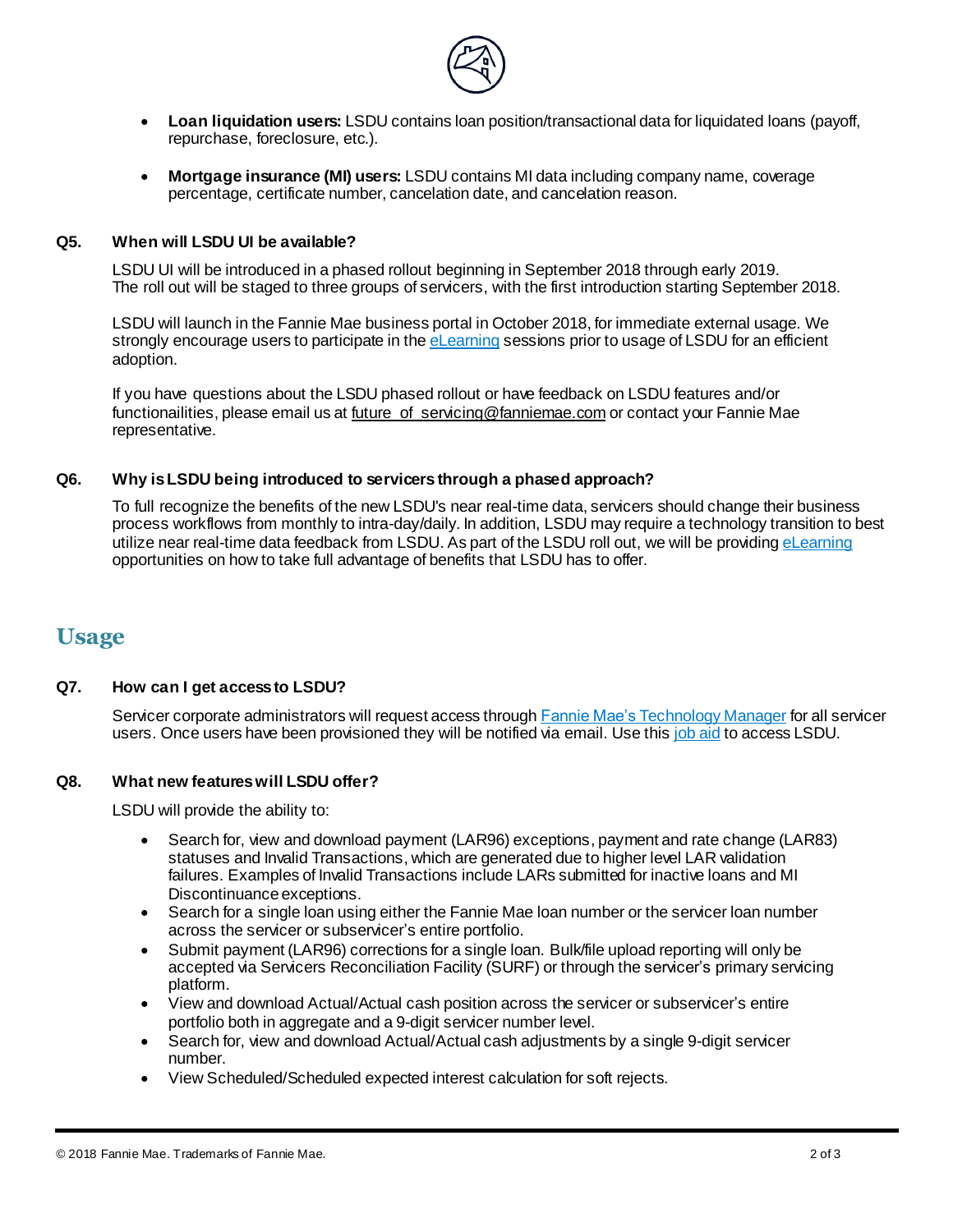

- **Loan liquidation users:** LSDU contains loan position/transactional data for liquidated loans (payoff, repurchase, foreclosure, etc.).
- **Mortgage insurance (MI) users:** LSDU contains MI data including company name, coverage percentage, certificate number, cancelation date, and cancelation reason.

### **Q5. When will LSDU UI be available?**

LSDU UI will be introduced in a phased rollout beginning in September 2018 through early 2019. The roll out will be staged to three groups of servicers, with the first introduction starting September 2018.

LSDU will launch in the Fannie Mae business portal in October 2018, for immediate external usage. We strongly encourage users to participate in the [eLearning](http://www.fanniemae.com/lsdu) sessions prior to usage of LSDU for an efficient adoption.

If you have questions about the LSDU phased rollout or have feedback on LSDU features and/or functionailities, please email us at future of servicing@fanniemae.com or contact your Fannie Mae representative.

# **Q6. Why is LSDU being introduced to servicers through a phased approach?**

To full recognize the benefits of the new LSDU's near real-time data, servicers should change their business process workflows from monthly to intra-day/daily. In addition, LSDU may require a technology transition to best utilize near real-time data feedback from LSDU. As part of the LSDU roll out, we will be providin[g eLearning](http://www.fanniemae.com/lsdu) opportunities on how to take full advantage of benefits that LSDU has to offer.

# **Usage**

# **Q7. How can I get access to LSDU?**

Servicer corporate administrators will request access throug[h Fannie Mae's Technology Manager](https://www.fanniemae.com/singlefamily/technology-manager) for all servicer users. Once users have been provisioned they will be notified via email. Use thi[s job aid](http://www.fanniemae.com/resources/file/lsdu/access-to-job-aid.pdf) to access LSDU.

# **Q8. What new features will LSDU offer?**

LSDU will provide the ability to:

- Search for, view and download payment (LAR96) exceptions, payment and rate change (LAR83) statuses and Invalid Transactions, which are generated due to higher level LAR validation failures. Examples of Invalid Transactions include LARs submitted for inactive loans and MI Discontinuance exceptions.
- Search for a single loan using either the Fannie Mae loan number or the servicer loan number across the servicer or subservicer's entire portfolio.
- Submit payment (LAR96) corrections for a single loan. Bulk/file upload reporting will only be accepted via Servicers Reconciliation Facility (SURF) or through the servicer's primary servicing platform.
- View and download Actual/Actual cash position across the servicer or subservicer's entire portfolio both in aggregate and a 9-digit servicer number level.
- Search for, view and download Actual/Actual cash adjustments by a single 9-digit servicer number.
- View Scheduled/Scheduled expected interest calculation for soft rejects.